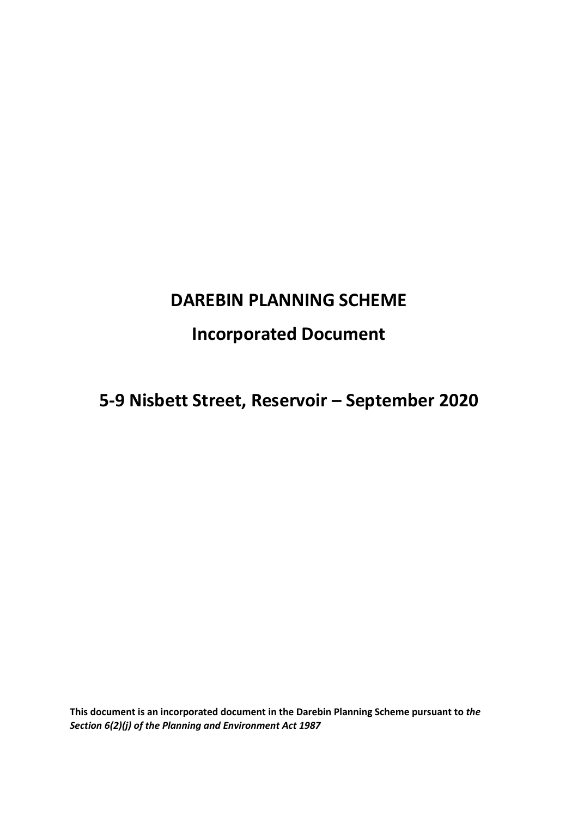# **DAREBIN PLANNING SCHEME**

## **Incorporated Document**

# **5-9 Nisbett Street, Reservoir – September 2020**

**This document is an incorporated document in the Darebin Planning Scheme pursuant to** *the Section 6(2)(j) of the Planning and Environment Act 1987*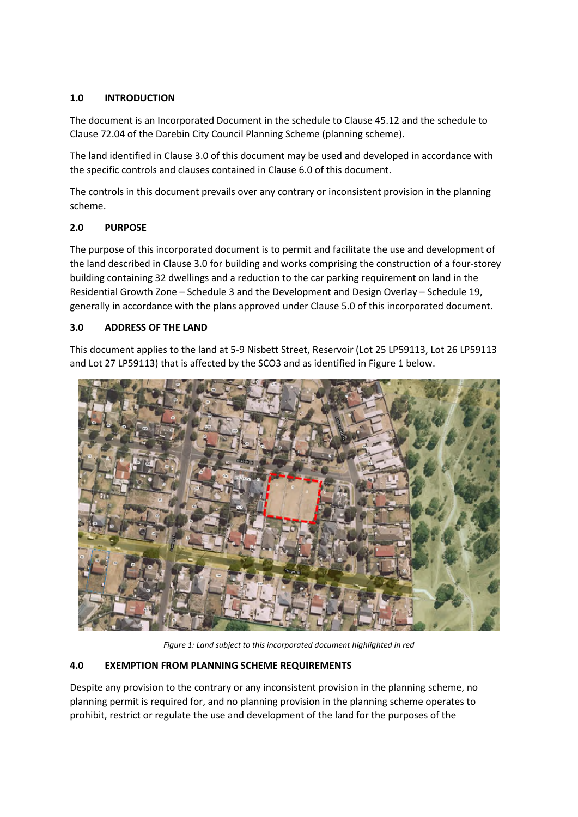## **1.0 INTRODUCTION**

The document is an Incorporated Document in the schedule to Clause 45.12 and the schedule to Clause 72.04 of the Darebin City Council Planning Scheme (planning scheme).

The land identified in Clause 3.0 of this document may be used and developed in accordance with the specific controls and clauses contained in Clause 6.0 of this document.

The controls in this document prevails over any contrary or inconsistent provision in the planning scheme.

## **2.0 PURPOSE**

The purpose of this incorporated document is to permit and facilitate the use and development of the land described in Clause 3.0 for building and works comprising the construction of a four-storey building containing 32 dwellings and a reduction to the car parking requirement on land in the Residential Growth Zone – Schedule 3 and the Development and Design Overlay – Schedule 19, generally in accordance with the plans approved under Clause 5.0 of this incorporated document.

### **3.0 ADDRESS OF THE LAND**

This document applies to the land at 5-9 Nisbett Street, Reservoir (Lot 25 LP59113, Lot 26 LP59113 and Lot 27 LP59113) that is affected by the SCO3 and as identified in Figure 1 below.



*Figure 1: Land subject to this incorporated document highlighted in red* 

### **4.0 EXEMPTION FROM PLANNING SCHEME REQUIREMENTS**

Despite any provision to the contrary or any inconsistent provision in the planning scheme, no planning permit is required for, and no planning provision in the planning scheme operates to prohibit, restrict or regulate the use and development of the land for the purposes of the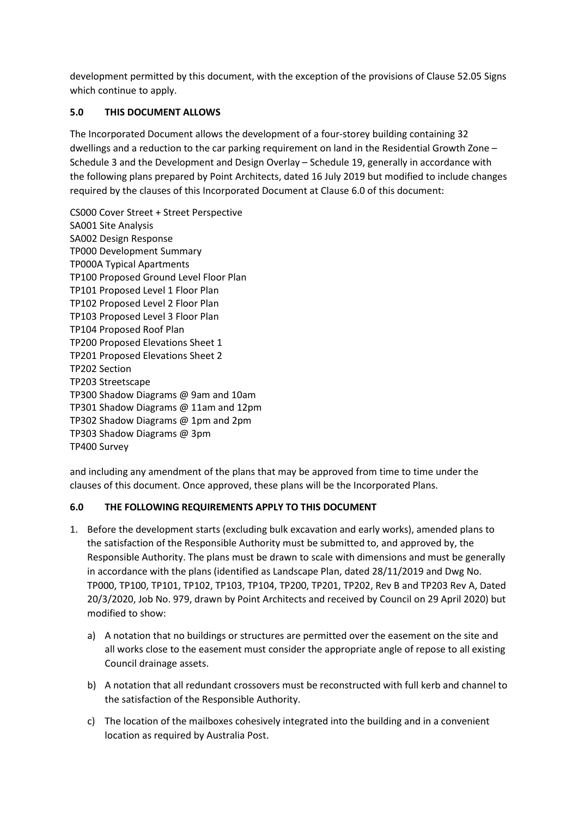development permitted by this document, with the exception of the provisions of Clause 52.05 Signs which continue to apply.

## **5.0 THIS DOCUMENT ALLOWS**

The Incorporated Document allows the development of a four-storey building containing 32 dwellings and a reduction to the car parking requirement on land in the Residential Growth Zone – Schedule 3 and the Development and Design Overlay – Schedule 19, generally in accordance with the following plans prepared by Point Architects, dated 16 July 2019 but modified to include changes required by the clauses of this Incorporated Document at Clause 6.0 of this document:

CS000 Cover Street + Street Perspective SA001 Site Analysis SA002 Design Response TP000 Development Summary TP000A Typical Apartments TP100 Proposed Ground Level Floor Plan TP101 Proposed Level 1 Floor Plan TP102 Proposed Level 2 Floor Plan TP103 Proposed Level 3 Floor Plan TP104 Proposed Roof Plan TP200 Proposed Elevations Sheet 1 TP201 Proposed Elevations Sheet 2 TP202 Section TP203 Streetscape TP300 Shadow Diagrams @ 9am and 10am TP301 Shadow Diagrams @ 11am and 12pm TP302 Shadow Diagrams @ 1pm and 2pm TP303 Shadow Diagrams @ 3pm TP400 Survey

and including any amendment of the plans that may be approved from time to time under the clauses of this document. Once approved, these plans will be the Incorporated Plans.

### **6.0 THE FOLLOWING REQUIREMENTS APPLY TO THIS DOCUMENT**

- 1. Before the development starts (excluding bulk excavation and early works), amended plans to the satisfaction of the Responsible Authority must be submitted to, and approved by, the Responsible Authority. The plans must be drawn to scale with dimensions and must be generally in accordance with the plans (identified as Landscape Plan, dated 28/11/2019 and Dwg No. TP000, TP100, TP101, TP102, TP103, TP104, TP200, TP201, TP202, Rev B and TP203 Rev A, Dated 20/3/2020, Job No. 979, drawn by Point Architects and received by Council on 29 April 2020) but modified to show:
	- a) A notation that no buildings or structures are permitted over the easement on the site and all works close to the easement must consider the appropriate angle of repose to all existing Council drainage assets.
	- b) A notation that all redundant crossovers must be reconstructed with full kerb and channel to the satisfaction of the Responsible Authority.
	- c) The location of the mailboxes cohesively integrated into the building and in a convenient location as required by Australia Post.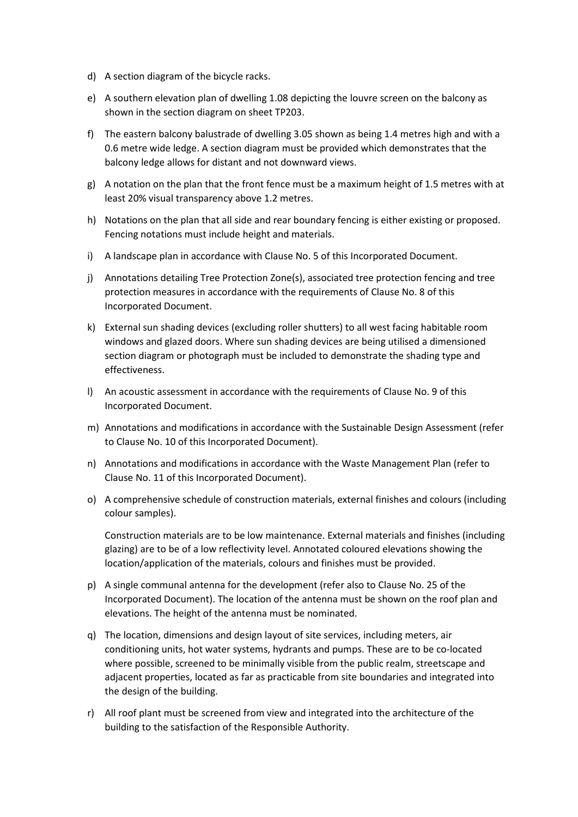- d) A section diagram of the bicycle racks.
- e) A southern elevation plan of dwelling 1.08 depicting the louvre screen on the balcony as shown in the section diagram on sheet TP203.
- f) The eastern balcony balustrade of dwelling 3.05 shown as being 1.4 metres high and with a 0.6 metre wide ledge. A section diagram must be provided which demonstrates that the balcony ledge allows for distant and not downward views.
- g) A notation on the plan that the front fence must be a maximum height of 1.5 metres with at least 20% visual transparency above 1.2 metres.
- h) Notations on the plan that all side and rear boundary fencing is either existing or proposed. Fencing notations must include height and materials.
- i) A landscape plan in accordance with Clause No. 5 of this Incorporated Document.
- j) Annotations detailing Tree Protection Zone(s), associated tree protection fencing and tree protection measures in accordance with the requirements of Clause No. 8 of this Incorporated Document.
- k) External sun shading devices (excluding roller shutters) to all west facing habitable room windows and glazed doors. Where sun shading devices are being utilised a dimensioned section diagram or photograph must be included to demonstrate the shading type and effectiveness.
- l) An acoustic assessment in accordance with the requirements of Clause No. 9 of this Incorporated Document.
- m) Annotations and modifications in accordance with the Sustainable Design Assessment (refer to Clause No. 10 of this Incorporated Document).
- n) Annotations and modifications in accordance with the Waste Management Plan (refer to Clause No. 11 of this Incorporated Document).
- o) A comprehensive schedule of construction materials, external finishes and colours (including colour samples).

Construction materials are to be low maintenance. External materials and finishes (including glazing) are to be of a low reflectivity level. Annotated coloured elevations showing the location/application of the materials, colours and finishes must be provided.

- p) A single communal antenna for the development (refer also to Clause No. 25 of the Incorporated Document). The location of the antenna must be shown on the roof plan and elevations. The height of the antenna must be nominated.
- q) The location, dimensions and design layout of site services, including meters, air conditioning units, hot water systems, hydrants and pumps. These are to be co-located where possible, screened to be minimally visible from the public realm, streetscape and adjacent properties, located as far as practicable from site boundaries and integrated into the design of the building.
- r) All roof plant must be screened from view and integrated into the architecture of the building to the satisfaction of the Responsible Authority.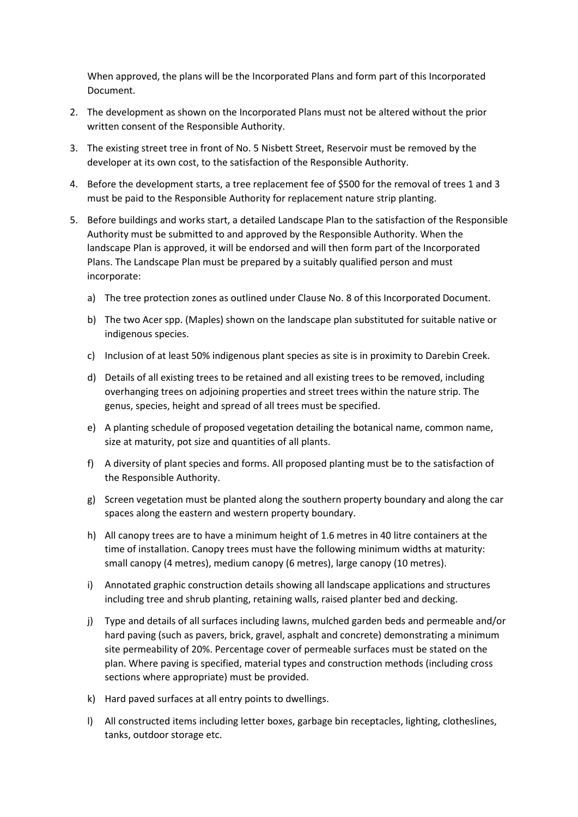When approved, the plans will be the Incorporated Plans and form part of this Incorporated Document.

- 2. The development as shown on the Incorporated Plans must not be altered without the prior written consent of the Responsible Authority.
- 3. The existing street tree in front of No. 5 Nisbett Street, Reservoir must be removed by the developer at its own cost, to the satisfaction of the Responsible Authority.
- 4. Before the development starts, a tree replacement fee of \$500 for the removal of trees 1 and 3 must be paid to the Responsible Authority for replacement nature strip planting.
- 5. Before buildings and works start, a detailed Landscape Plan to the satisfaction of the Responsible Authority must be submitted to and approved by the Responsible Authority. When the landscape Plan is approved, it will be endorsed and will then form part of the Incorporated Plans. The Landscape Plan must be prepared by a suitably qualified person and must incorporate:
	- a) The tree protection zones as outlined under Clause No. 8 of this Incorporated Document.
	- b) The two Acer spp. (Maples) shown on the landscape plan substituted for suitable native or indigenous species.
	- c) Inclusion of at least 50% indigenous plant species as site is in proximity to Darebin Creek.
	- d) Details of all existing trees to be retained and all existing trees to be removed, including overhanging trees on adjoining properties and street trees within the nature strip. The genus, species, height and spread of all trees must be specified.
	- e) A planting schedule of proposed vegetation detailing the botanical name, common name, size at maturity, pot size and quantities of all plants.
	- f) A diversity of plant species and forms. All proposed planting must be to the satisfaction of the Responsible Authority.
	- g) Screen vegetation must be planted along the southern property boundary and along the car spaces along the eastern and western property boundary.
	- h) All canopy trees are to have a minimum height of 1.6 metres in 40 litre containers at the time of installation. Canopy trees must have the following minimum widths at maturity: small canopy (4 metres), medium canopy (6 metres), large canopy (10 metres).
	- i) Annotated graphic construction details showing all landscape applications and structures including tree and shrub planting, retaining walls, raised planter bed and decking.
	- j) Type and details of all surfaces including lawns, mulched garden beds and permeable and/or hard paving (such as pavers, brick, gravel, asphalt and concrete) demonstrating a minimum site permeability of 20%. Percentage cover of permeable surfaces must be stated on the plan. Where paving is specified, material types and construction methods (including cross sections where appropriate) must be provided.
	- k) Hard paved surfaces at all entry points to dwellings.
	- l) All constructed items including letter boxes, garbage bin receptacles, lighting, clotheslines, tanks, outdoor storage etc.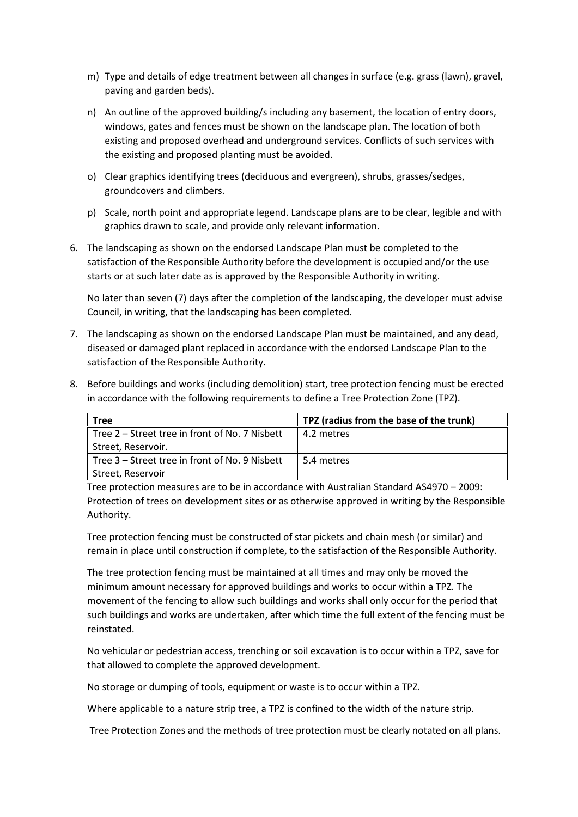- m) Type and details of edge treatment between all changes in surface (e.g. grass (lawn), gravel, paving and garden beds).
- n) An outline of the approved building/s including any basement, the location of entry doors, windows, gates and fences must be shown on the landscape plan. The location of both existing and proposed overhead and underground services. Conflicts of such services with the existing and proposed planting must be avoided.
- o) Clear graphics identifying trees (deciduous and evergreen), shrubs, grasses/sedges, groundcovers and climbers.
- p) Scale, north point and appropriate legend. Landscape plans are to be clear, legible and with graphics drawn to scale, and provide only relevant information.
- 6. The landscaping as shown on the endorsed Landscape Plan must be completed to the satisfaction of the Responsible Authority before the development is occupied and/or the use starts or at such later date as is approved by the Responsible Authority in writing.

No later than seven (7) days after the completion of the landscaping, the developer must advise Council, in writing, that the landscaping has been completed.

- 7. The landscaping as shown on the endorsed Landscape Plan must be maintained, and any dead, diseased or damaged plant replaced in accordance with the endorsed Landscape Plan to the satisfaction of the Responsible Authority.
- 8. Before buildings and works (including demolition) start, tree protection fencing must be erected in accordance with the following requirements to define a Tree Protection Zone (TPZ).

| Tree                                           | TPZ (radius from the base of the trunk) |
|------------------------------------------------|-----------------------------------------|
| Tree 2 – Street tree in front of No. 7 Nisbett | 4.2 metres                              |
| Street, Reservoir.                             |                                         |
| Tree 3 - Street tree in front of No. 9 Nisbett | 5.4 metres                              |
| Street, Reservoir                              |                                         |

Tree protection measures are to be in accordance with Australian Standard AS4970 – 2009: Protection of trees on development sites or as otherwise approved in writing by the Responsible Authority.

Tree protection fencing must be constructed of star pickets and chain mesh (or similar) and remain in place until construction if complete, to the satisfaction of the Responsible Authority.

The tree protection fencing must be maintained at all times and may only be moved the minimum amount necessary for approved buildings and works to occur within a TPZ. The movement of the fencing to allow such buildings and works shall only occur for the period that such buildings and works are undertaken, after which time the full extent of the fencing must be reinstated.

No vehicular or pedestrian access, trenching or soil excavation is to occur within a TPZ, save for that allowed to complete the approved development.

No storage or dumping of tools, equipment or waste is to occur within a TPZ.

Where applicable to a nature strip tree, a TPZ is confined to the width of the nature strip.

Tree Protection Zones and the methods of tree protection must be clearly notated on all plans.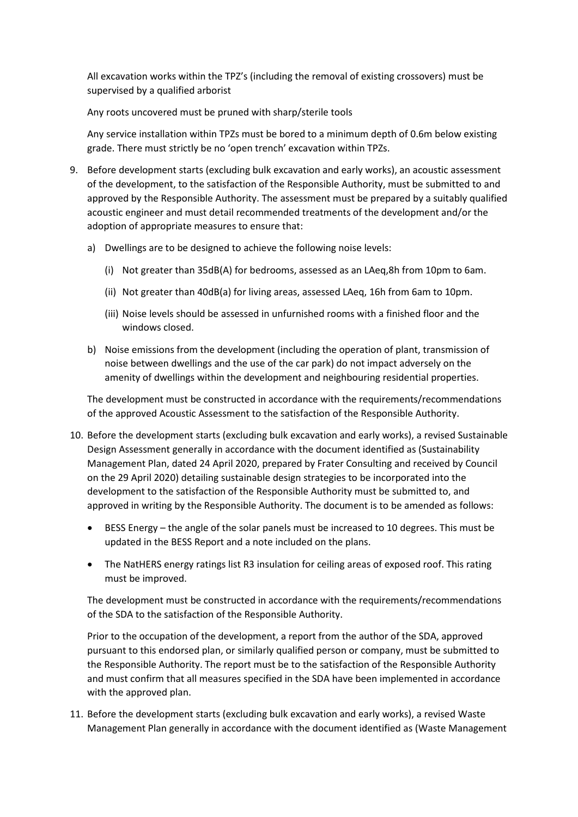All excavation works within the TPZ's (including the removal of existing crossovers) must be supervised by a qualified arborist

Any roots uncovered must be pruned with sharp/sterile tools

Any service installation within TPZs must be bored to a minimum depth of 0.6m below existing grade. There must strictly be no 'open trench' excavation within TPZs.

- 9. Before development starts (excluding bulk excavation and early works), an acoustic assessment of the development, to the satisfaction of the Responsible Authority, must be submitted to and approved by the Responsible Authority. The assessment must be prepared by a suitably qualified acoustic engineer and must detail recommended treatments of the development and/or the adoption of appropriate measures to ensure that:
	- a) Dwellings are to be designed to achieve the following noise levels:
		- (i) Not greater than 35dB(A) for bedrooms, assessed as an LAeq,8h from 10pm to 6am.
		- (ii) Not greater than 40dB(a) for living areas, assessed LAeq, 16h from 6am to 10pm.
		- (iii) Noise levels should be assessed in unfurnished rooms with a finished floor and the windows closed.
	- b) Noise emissions from the development (including the operation of plant, transmission of noise between dwellings and the use of the car park) do not impact adversely on the amenity of dwellings within the development and neighbouring residential properties.

The development must be constructed in accordance with the requirements/recommendations of the approved Acoustic Assessment to the satisfaction of the Responsible Authority.

- 10. Before the development starts (excluding bulk excavation and early works), a revised Sustainable Design Assessment generally in accordance with the document identified as (Sustainability Management Plan, dated 24 April 2020, prepared by Frater Consulting and received by Council on the 29 April 2020) detailing sustainable design strategies to be incorporated into the development to the satisfaction of the Responsible Authority must be submitted to, and approved in writing by the Responsible Authority. The document is to be amended as follows:
	- BESS Energy the angle of the solar panels must be increased to 10 degrees. This must be updated in the BESS Report and a note included on the plans.
	- The NatHERS energy ratings list R3 insulation for ceiling areas of exposed roof. This rating must be improved.

The development must be constructed in accordance with the requirements/recommendations of the SDA to the satisfaction of the Responsible Authority.

Prior to the occupation of the development, a report from the author of the SDA, approved pursuant to this endorsed plan, or similarly qualified person or company, must be submitted to the Responsible Authority. The report must be to the satisfaction of the Responsible Authority and must confirm that all measures specified in the SDA have been implemented in accordance with the approved plan.

11. Before the development starts (excluding bulk excavation and early works), a revised Waste Management Plan generally in accordance with the document identified as (Waste Management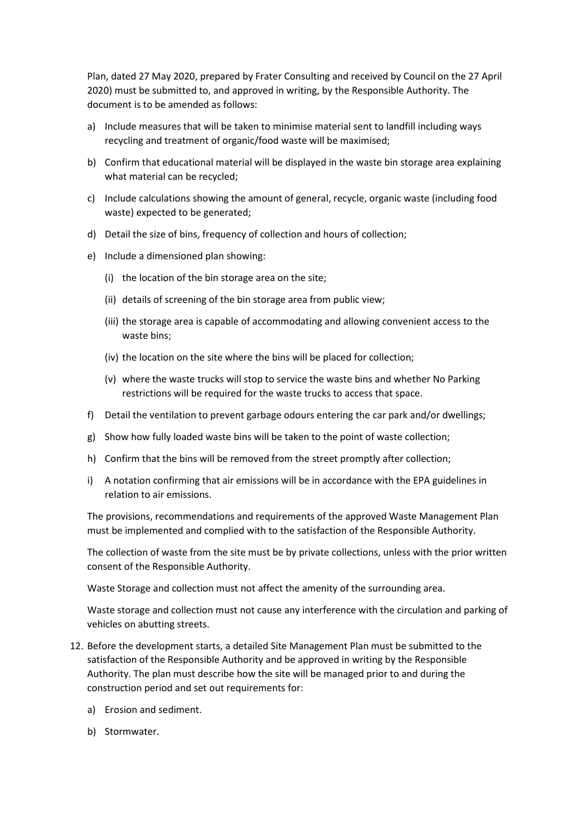Plan, dated 27 May 2020, prepared by Frater Consulting and received by Council on the 27 April 2020) must be submitted to, and approved in writing, by the Responsible Authority. The document is to be amended as follows:

- a) Include measures that will be taken to minimise material sent to landfill including ways recycling and treatment of organic/food waste will be maximised;
- b) Confirm that educational material will be displayed in the waste bin storage area explaining what material can be recycled;
- c) Include calculations showing the amount of general, recycle, organic waste (including food waste) expected to be generated;
- d) Detail the size of bins, frequency of collection and hours of collection;
- e) Include a dimensioned plan showing:
	- (i) the location of the bin storage area on the site;
	- (ii) details of screening of the bin storage area from public view;
	- (iii) the storage area is capable of accommodating and allowing convenient access to the waste bins;
	- (iv) the location on the site where the bins will be placed for collection;
	- (v) where the waste trucks will stop to service the waste bins and whether No Parking restrictions will be required for the waste trucks to access that space.
- f) Detail the ventilation to prevent garbage odours entering the car park and/or dwellings;
- g) Show how fully loaded waste bins will be taken to the point of waste collection;
- h) Confirm that the bins will be removed from the street promptly after collection;
- i) A notation confirming that air emissions will be in accordance with the EPA guidelines in relation to air emissions.

The provisions, recommendations and requirements of the approved Waste Management Plan must be implemented and complied with to the satisfaction of the Responsible Authority.

The collection of waste from the site must be by private collections, unless with the prior written consent of the Responsible Authority.

Waste Storage and collection must not affect the amenity of the surrounding area.

Waste storage and collection must not cause any interference with the circulation and parking of vehicles on abutting streets.

- 12. Before the development starts, a detailed Site Management Plan must be submitted to the satisfaction of the Responsible Authority and be approved in writing by the Responsible Authority. The plan must describe how the site will be managed prior to and during the construction period and set out requirements for:
	- a) Erosion and sediment.
	- b) Stormwater.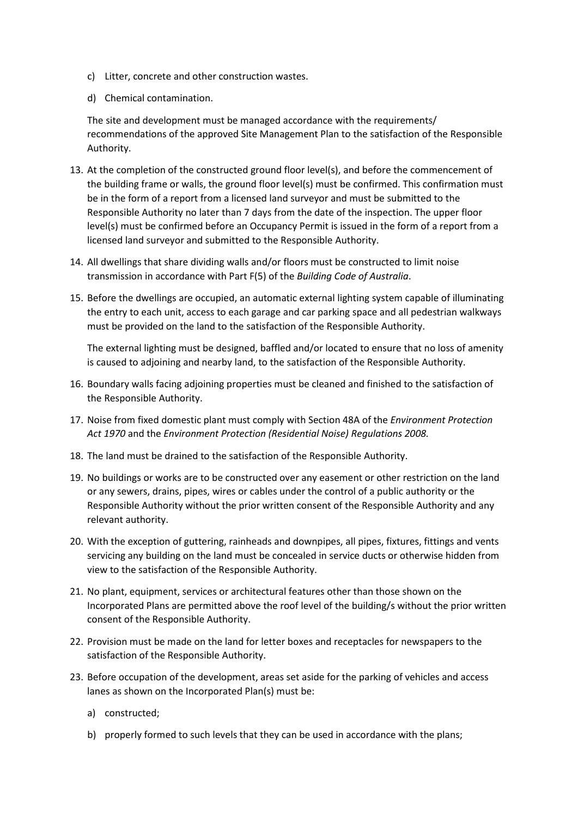- c) Litter, concrete and other construction wastes.
- d) Chemical contamination.

The site and development must be managed accordance with the requirements/ recommendations of the approved Site Management Plan to the satisfaction of the Responsible Authority.

- 13. At the completion of the constructed ground floor level(s), and before the commencement of the building frame or walls, the ground floor level(s) must be confirmed. This confirmation must be in the form of a report from a licensed land surveyor and must be submitted to the Responsible Authority no later than 7 days from the date of the inspection. The upper floor level(s) must be confirmed before an Occupancy Permit is issued in the form of a report from a licensed land surveyor and submitted to the Responsible Authority.
- 14. All dwellings that share dividing walls and/or floors must be constructed to limit noise transmission in accordance with Part F(5) of the *Building Code of Australia*.
- 15. Before the dwellings are occupied, an automatic external lighting system capable of illuminating the entry to each unit, access to each garage and car parking space and all pedestrian walkways must be provided on the land to the satisfaction of the Responsible Authority.

The external lighting must be designed, baffled and/or located to ensure that no loss of amenity is caused to adjoining and nearby land, to the satisfaction of the Responsible Authority.

- 16. Boundary walls facing adjoining properties must be cleaned and finished to the satisfaction of the Responsible Authority.
- 17. Noise from fixed domestic plant must comply with Section 48A of the *Environment Protection Act 1970* and the *Environment Protection (Residential Noise) Regulations 2008.*
- 18. The land must be drained to the satisfaction of the Responsible Authority.
- 19. No buildings or works are to be constructed over any easement or other restriction on the land or any sewers, drains, pipes, wires or cables under the control of a public authority or the Responsible Authority without the prior written consent of the Responsible Authority and any relevant authority.
- 20. With the exception of guttering, rainheads and downpipes, all pipes, fixtures, fittings and vents servicing any building on the land must be concealed in service ducts or otherwise hidden from view to the satisfaction of the Responsible Authority.
- 21. No plant, equipment, services or architectural features other than those shown on the Incorporated Plans are permitted above the roof level of the building/s without the prior written consent of the Responsible Authority.
- 22. Provision must be made on the land for letter boxes and receptacles for newspapers to the satisfaction of the Responsible Authority.
- 23. Before occupation of the development, areas set aside for the parking of vehicles and access lanes as shown on the Incorporated Plan(s) must be:
	- a) constructed;
	- b) properly formed to such levels that they can be used in accordance with the plans;